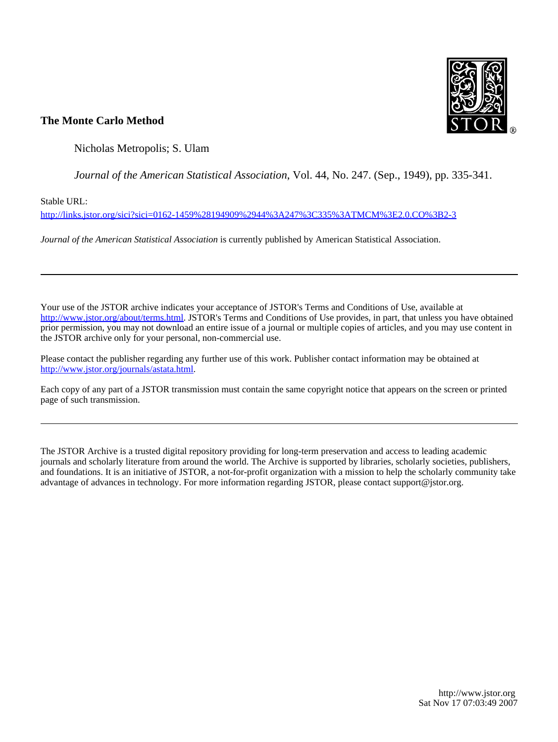

## **The Monte Carlo Method**

Nicholas Metropolis; S. Ulam

*Journal of the American Statistical Association*, Vol. 44, No. 247. (Sep., 1949), pp. 335-341.

Stable URL:

<http://links.jstor.org/sici?sici=0162-1459%28194909%2944%3A247%3C335%3ATMCM%3E2.0.CO%3B2-3>

*Journal of the American Statistical Association* is currently published by American Statistical Association.

Your use of the JSTOR archive indicates your acceptance of JSTOR's Terms and Conditions of Use, available at [http://www.jstor.org/about/terms.html.](http://www.jstor.org/about/terms.html) JSTOR's Terms and Conditions of Use provides, in part, that unless you have obtained prior permission, you may not download an entire issue of a journal or multiple copies of articles, and you may use content in the JSTOR archive only for your personal, non-commercial use.

Please contact the publisher regarding any further use of this work. Publisher contact information may be obtained at <http://www.jstor.org/journals/astata.html>.

Each copy of any part of a JSTOR transmission must contain the same copyright notice that appears on the screen or printed page of such transmission.

The JSTOR Archive is a trusted digital repository providing for long-term preservation and access to leading academic journals and scholarly literature from around the world. The Archive is supported by libraries, scholarly societies, publishers, and foundations. It is an initiative of JSTOR, a not-for-profit organization with a mission to help the scholarly community take advantage of advances in technology. For more information regarding JSTOR, please contact support@jstor.org.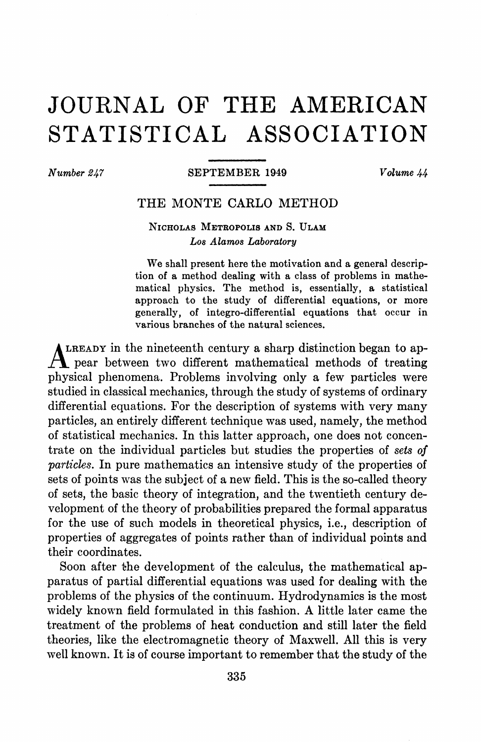# JOURNAL OF THE AMERICAN STATISTICAL ASSOCIATION

*Number 167* SEPTEMBER 1949 *Volume* 44

## THE MONTE CARL0 METHOD

## **NICHOLAS METROPOLIS AND S. ULAM** *Los Alamos Laboratory*

We shall present here the motivation and a general description of a method dealing with a class of problems in mathematical physics. The method is, essentially, a statistical approach to the study of differential equations, or more generally, of integro-differential equations that occur in various branches of the natural sciences.

LREADY in the nineteenth century a sharp distinction began to appear between two different mathematical methods of treating physical phenomena. Problems involving only a few particles were studied in classical mechanics, through the study of systems of ordinary differential equations. For the description of systems with very many particles, an entirely different technique was used, namely, the method of statistical mechanics. In this latter approach, one does not concentrate on the individual particles but studies the properties of sek **of**  particles. In pure mathematics an intensive study of the properties of sets of points was the subject of a new field. This is the so-called theory of sets, the basic theory of integration, and the twentieth century development of the theory of probabilities prepared the formal apparatus for the use of such models in theoretical physics, i.e., description of properties of aggregates of points rather than of individual points and their coordinates.

Soon after the development of the calculus, the mathematical apparatus of partial differential equations was used for dealing with the problems of the physics of the continuum. Hydrodynamics is the most widely known field formulated in this fashion. A little later came the treatment of the problems of heat conduction and still later the field theories, like the electromagnetic theory of Maxwell. All this is very well known. It is of course important to remember that the study of the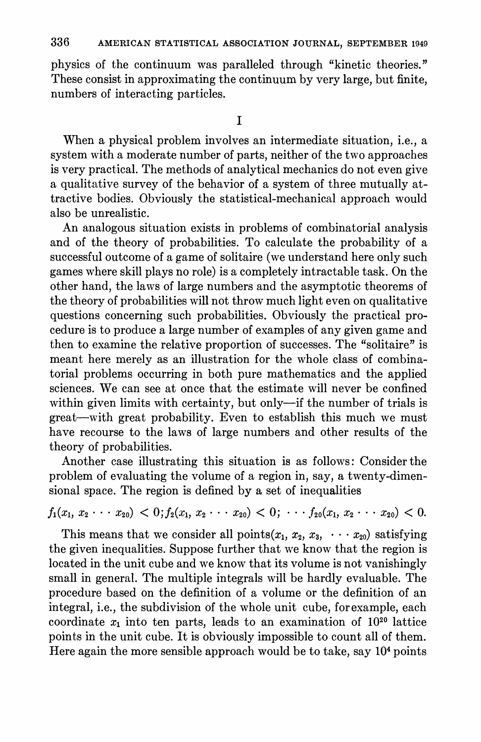physics of the continuum was paralleled through "kinetic theories." These consist in approximating the continuum by very large, but finite, numbers of interacting particles.

I

When a physical problem involves an intermediate situation, i.e., a system with a moderate number of parts, neither of the two approaches is very practical. The methods of analytical mechanics do not even give a qualitative survey of the behavior of a system of three mutually attractive bodies. Obviously the statistical-mechanical approach would also be unrealistic.

An analogous situation exists in problems of combinatorial analysis and of the theory of probabilities. To calculate the probability of a successful outcome of a game of solitaire (we understand here only such games where skill plays no role) is a completely intractable task. On the other hand, the laws of large numbers and the asymptotic theorems of the theory of probabilities will not throw much light even on qualitative questions concerning such probabilities. Obviously the practical procedure is to produce a large number of examples of any given game and then to examine the relative proportion of successes. The "solitaire" is meant here merely as an illustration for the whole class of combinatorial problems occurring in both pure mathematics and the applied sciences. We can see at once that the estimate will never be confined within given limits with certainty, but only—if the number of trials is great-with great probability. Even to establish this much we must have recourse to the laws of large numbers and other results of the theory of probabilities.

Another case illustrating this situation is as follows: Consider the problem of evaluating the volume of a region in, say, a twenty-dimensional space. The region is defined by a set of inequalities

$$
f_1(x_1, x_2 \cdots x_{20}) < 0; f_2(x_1, x_2 \cdots x_{20}) < 0; \cdots f_{20}(x_1, x_2 \cdots x_{20}) < 0.
$$

This means that we consider all points( $x_1, x_2, x_3, \cdots, x_{20}$ ) satisfying the given inequalities. Suppose further that we know that the region is located in the unit cube and we know that its volume is not vanishingly small in general. The multiple integrals will be hardly evaluable. The procedure based on the definition of a volume or the definition of an integral, i.e., the subdivision of the whole unit cube, forexample, each coordinate  $x_1$  into ten parts, leads to an examination of  $10^{20}$  lattice points in the unit cube. It is obviously impossible to count all of them. Here again the more sensible approach would be to take, say  $10<sup>4</sup>$  points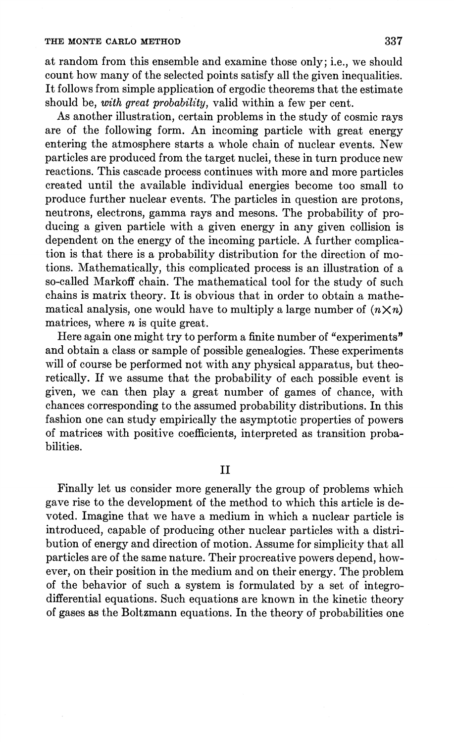#### **THE MONTE CARL0 METHOD 337**

at random from this ensemble and examine those only; i.e., we should count how many of the selected points satisfy all the given inequalities. It follows from simple application of ergodic theorems that the estimate should be, with great probability, valid within a few per cent.

As another illustration, certain problems in the study of cosmic rays are of the following form. An incoming particle with great energy entering the atmosphere starts a whole chain of nuclear events. New particles are produced from the target nuclei, these in turn produce new reactions. This cascade process continues mith more and more particles created until the available individual energies become too small to produce further nuclear events. The particles in question are protons, neutrons, electrons, gamma rays and mesons. The probability of producing a given particle with a given energy in any given collision is dependent on the energy of the incoming particle. A further complication is that there is a probability distribution for the direction of motions. Mathematically, this complicated process is an illustration of a so-called Markoff chain. The mathematical tool for the study of such chains is matrix theory. It is obvious that in order to obtain a mathematical analysis, one would have to multiply a large number of  $(n \times n)$ matrices, where  $n$  is quite great.

Here again one might try to perform a finite number of "experiments" and obtain a class or sample of possible genealogies. These experiments will of course be performed not with any physical apparatus, but theoretically. If we assume that the probability of each possible event is given, we can then play a great number of games of chance, with chances corresponding to the assumed probability distributions. In this fashion one can study empirically the asymptotic properties of powers of matrices with positive coefficients, interpreted as transition probabilities.

 $II$ 

Finally let us consider more generally the group of problems which gave rise to the development of the method to which this article is devoted. Imagine that we have a medium in which a nuclear particle is introduced, capable of producing other nuclear particles mith a distribution of energy and direction of motion. Assume for simplicity that all particles are of the same nature. Their procreative powers depend, however, on their position in the medium and on their energy. The problem of the behavior of such a system is formulated by a set of integrodifferential equations. Such equations are known in the kinetic theory of gases as the Boltzmann equations. In the theory of probabilities one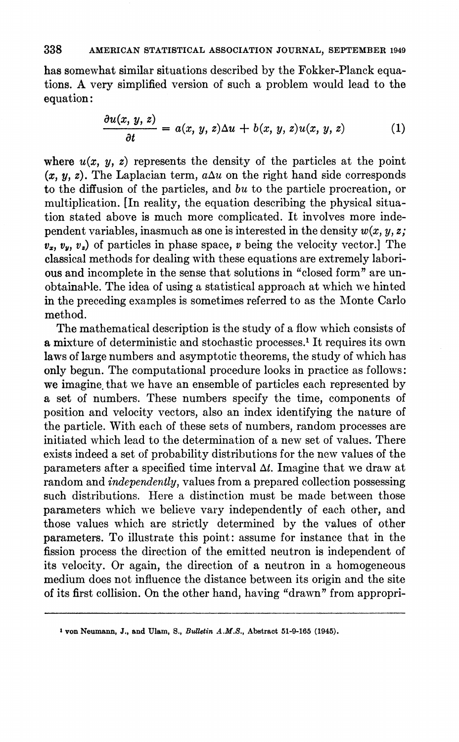#### **338** AMERICAN STATISTICAL ASSOCIATION JOURNAL, SEPTEMBER **<sup>1949</sup>**

has somewhat similar situations described by the Fokker-Planck equations. **A** very simplified version of such a problem would lead to the equation:

$$
\frac{\partial u(x,\,y,\,z)}{\partial t} = a(x,\,y,\,z)\Delta u + b(x,\,y,\,z)u(x,\,y,\,z) \tag{1}
$$

where  $u(x, y, z)$  represents the density of the particles at the point  $(x, y, z)$ . The Laplacian term,  $a\Delta u$  on the right hand side corresponds to the diffusion of the particles, and bu to the particle procreation, or multiplication. [In reality, the equation describing the physical situation stated above is much more complicated. It involves more independent variables, inasmuch as one is interested in the density  $w(x, y, z)$ ;  $\vec{v}_x, \vec{v}_y, \vec{v}_z$  of particles in phase space, v being the velocity vector.] The classical methods for dealing with these equations are extremely laborious and incomplete in the sense that solutions in "closed form" are unobtainable. The idea of using a statistical approach at which we hinted in the preceding examples is sometimes referred to as the Monte Carlo method.

The mathematical description is the study of a flow which consists of **a** mixture of deterministic and stochastic processes.' It requires its own laws of large numbers and asymptotic theorems, the study of which has only begun. The computational procedure looks in practice as follows: we imagine that we have an ensemble of particles each represented by a set of numbers. These numbers specify the time, components of position and velocity vectors, also an index identifying the nature of the particle. With each of these sets of numbers, random processes are initiated which lead to the determination of a new set of values. There exists indeed a set of probability distributions for the new values of the parameters after a specified time interval  $\Delta t$ . Imagine that we draw at random and *independently*, values from a prepared collection possessing such distributions. Here a distinction must be made between those parameters which we believe vary independently of each other, and those values which are strictly determined by the values of other parameters. To illustrate this point: assume for instance that in the fission process the direction of the emitted neutron is independent of its velocity. Or again, the direction of a neutron in a homogeneous medium does not influence the distance between its origin and the site of its first collision. On the other hand, having "drawn" from appropri-

**<sup>1</sup>von Neumann,** J., **and Ulam,** S., **Bulletin B.M.S.,Abstract 61-0-165 (1946).**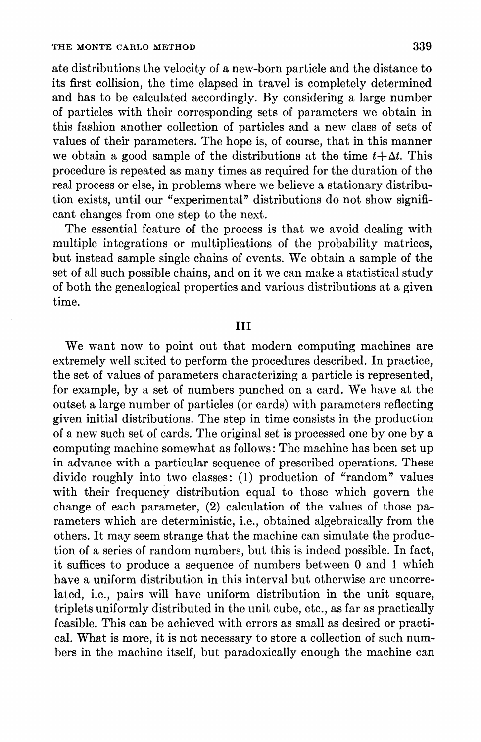ate distributions the velocity of a new-born particle and the distance to its first collision, the time elapsed in travel is completely determined and has to be calculated accordingly. By considering a large number of particles with their corresponding sets of parameters me obtain in this fashion another collection of particles and a new class of sets of values of their parameters. The hope is, of course, that in this manner we obtain a good sample of the distributions at the time  $t+\Delta t$ . This procedure is repeated as many times as required for the duration of the real process or else, in problems where we believe a stationary distribution exists, until our "esperimental" distributions do not show significant changes from one step to the next.

The essential feature of the process is that we avoid dealing with multiple integrations or multiplications of the probability matrices, but instead sample single chains of events. We obtain a sample of the set of all such possible chains, and on it we can make a statistical study of both the genealogical properties and various distributions at a given time.

### **III**

We want now to point out that modern computing machines are extremely well suited to perform the procedures described. In practice, the set of values of parameters characterizing a particle is represented, for example, by a set of numbers punched on a card. We have at the outset a large number of particles (or cards) with parameters reflecting given initial distributions. The step in time consists in the production of a new such set of cards. The original set is processed one by one by a computing machine somewhat as follows: The machine has been set up in advance with a particular sequence of prescribed operations. These divide roughly into two classes: (I) production of "random" values with their frequency distribution equal to those which govern the change of each parameter, **(2)** calculation of the values of those parameters which are deterministic, i.e., obtained algebraically from the others. It may seem strange that the machine can simulate the production of a series of random numbers, but this is indeed possible. In fact, it suffices to produce a sequence of numbers between 0 and 1 which have a uniform distribution in this interval but otherwise are uncorrelated, i.e., pairs will have uniform distribution in the unit square, triplets uniformly distributed in the unit cube, etc., as far as practically feasible. This can be achieved with errors as small as desired or practical. What is more, it is not necessary to store a collection of surh numbers in the machine itself, but paradoxically enough the machine can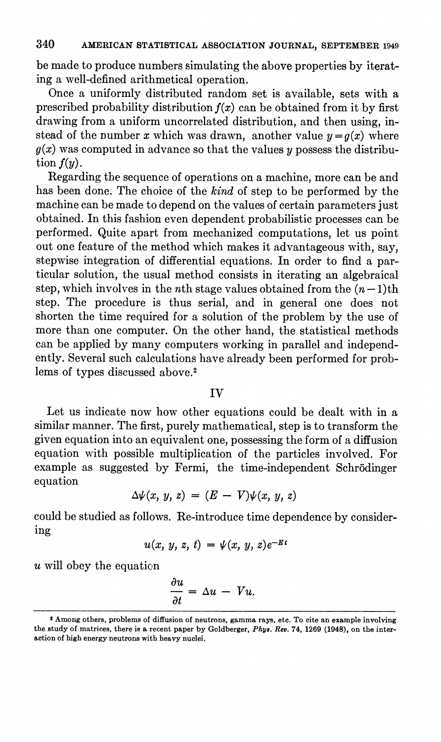## **340** AMERICAN STATISTICAL ASSOCIATION JOURNAL, SEPTEMBER 1949

be made to produce numbers simulating the above properties by iterating a well-defined arithmetical operation.

Once a uniformly distributed random set is available, sets with a prescribed probability distribution  $f(x)$  can be obtained from it by first drawing from a uniform uncorrelated distribution, and then using, instead of the number x which was drawn, another value  $y = g(x)$  where  $g(x)$  was computed in advance so that the values y possess the distribution  $f(y)$ .

Regarding the sequence of operations on a machine, more can be and has been done. The choice of the kind of step to be performed by the machine can be made to depend on the values of certain parameters just obtained. In this fashion even dependent probabilistic processes can be performed. Quite apart from mechanized computations, let us point out one feature of the method mhich makes it advantageous with, say, stepwise integration of differential equations. In order to find a particular solution, the usual method consists in iterating an algebraical step, which involves in the *n*th stage values obtained from the  $(n-1)$ th step. The procedure is thus serial, and in general one does not shorten the time required for a solution of the problem by the use of more than one computer. On the other hand, the statistical methods can be applied by many computers working in parallel and independently. Several such calculations have already been performed for problems of types discussed above.2

#### IV

Let us indicate now how other equations could be dealt with in a similar manner. The first, purely mathematical, step is to transform the given equation into an equivalent one, possessing the form of a diffusion equation with possible multiplication of the particles involved. For example as suggested by Fermi, the time-independent Schrödinger equation

$$
\Delta \psi(x, y, z) = (E - V)\psi(x, y, z)
$$

could be studied as follows. Re-introduce time dependence by considering

$$
u(x, y, z, t) = \psi(x, y, z)e^{-Et}
$$

u will obey the equaticn

$$
\frac{\partial u}{\partial t} = \Delta u - Vu.
$$

<sup>&</sup>lt;sup>2</sup> Among others, problems of diffusion of neutrons, gamma rays, etc. To cite an example involving the study of matrices, there ie a recent paper by Goldberger, *Phys. Reu.* **74, 1269 (1948),** on the interaction of high energy neutrons with heavy nuclei.